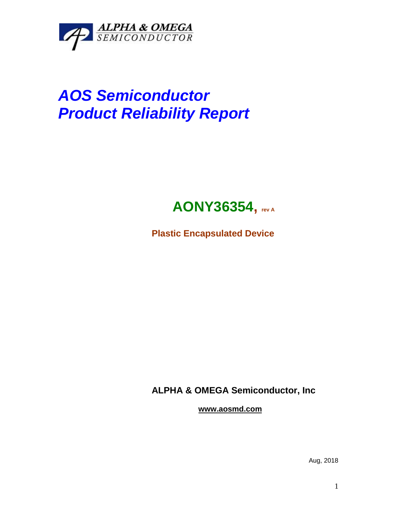

## *AOS Semiconductor Product Reliability Report*



**Plastic Encapsulated Device**

**ALPHA & OMEGA Semiconductor, Inc**

**www.aosmd.com**

Aug, 2018